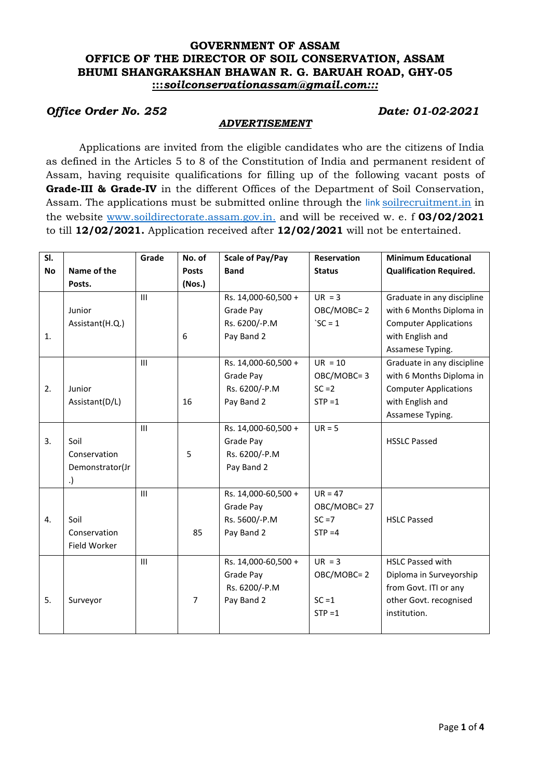## **GOVERNMENT OF ASSAM OFFICE OF THE DIRECTOR OF SOIL CONSERVATION, ASSAM BHUMI SHANGRAKSHAN BHAWAN R. G. BARUAH ROAD, GHY-05 :::***soilconservationassam@gmail.com:::*

# *Office Order No. 252 Date: 01-02-2021*

### *ADVERTISEMENT*

Applications are invited from the eligible candidates who are the citizens of India as defined in the Articles 5 to 8 of the Constitution of India and permanent resident of Assam, having requisite qualifications for filling up of the following vacant posts of **Grade-III & Grade-IV** in the different Offices of the Department of Soil Conservation, Assam. The applications must be submitted online through the link [soilrecruitment.in](http://www.soildirectorate.assam.gov.in/) in the website [www.soildirectorate.assam.gov.in.](http://www.soildirectorate.assam.gov.in/) and will be received w. e. f **03/02/2021** to till **12/02/2021.** Application received after **12/02/2021** will not be entertained.

| SI.       |                 | Grade          | No. of         | <b>Scale of Pay/Pay</b> | <b>Reservation</b> | <b>Minimum Educational</b>     |
|-----------|-----------------|----------------|----------------|-------------------------|--------------------|--------------------------------|
| <b>No</b> | Name of the     |                | <b>Posts</b>   | <b>Band</b>             | <b>Status</b>      | <b>Qualification Required.</b> |
|           | Posts.          |                | (Nos.)         |                         |                    |                                |
|           |                 | III            |                | Rs. 14,000-60,500 +     | $UR = 3$           | Graduate in any discipline     |
|           | Junior          |                |                | Grade Pay               | OBC/MOBC=2         | with 6 Months Diploma in       |
|           | Assistant(H.Q.) |                |                | Rs. 6200/-P.M           | $SC = 1$           | <b>Computer Applications</b>   |
| 1.        |                 |                | 6              | Pay Band 2              |                    | with English and               |
|           |                 |                |                |                         |                    | Assamese Typing.               |
|           |                 | $\mathbf{III}$ |                | Rs. 14,000-60,500 +     | $UR = 10$          | Graduate in any discipline     |
|           |                 |                |                | Grade Pay               | OBC/MOBC=3         | with 6 Months Diploma in       |
| 2.        | Junior          |                |                | Rs. 6200/-P.M           | $SC = 2$           | <b>Computer Applications</b>   |
|           | Assistant(D/L)  |                | 16             | Pay Band 2              | $STP = 1$          | with English and               |
|           |                 |                |                |                         |                    | Assamese Typing.               |
|           |                 | III            |                | Rs. 14,000-60,500 +     | $UR = 5$           |                                |
| 3.        | Soil            |                |                | Grade Pay               |                    | <b>HSSLC Passed</b>            |
|           | Conservation    |                | 5              | Rs. 6200/-P.M           |                    |                                |
|           | Demonstrator(Jr |                |                | Pay Band 2              |                    |                                |
|           |                 |                |                |                         |                    |                                |
|           |                 | III            |                | Rs. 14,000-60,500 +     | $UR = 47$          |                                |
|           |                 |                |                | Grade Pay               | OBC/MOBC=27        |                                |
| 4.        | Soil            |                |                | Rs. 5600/-P.M           | $SC = 7$           | <b>HSLC Passed</b>             |
|           | Conservation    |                | 85             | Pay Band 2              | $STP = 4$          |                                |
|           | Field Worker    |                |                |                         |                    |                                |
|           |                 | III            |                | Rs. 14,000-60,500 +     | $UR = 3$           | <b>HSLC Passed with</b>        |
|           |                 |                |                | Grade Pay               | OBC/MOBC=2         | Diploma in Surveyorship        |
|           |                 |                |                | Rs. 6200/-P.M           |                    | from Govt. ITI or any          |
| 5.        | Surveyor        |                | $\overline{7}$ | Pay Band 2              | $SC = 1$           | other Govt. recognised         |
|           |                 |                |                |                         | $STP = 1$          | institution.                   |
|           |                 |                |                |                         |                    |                                |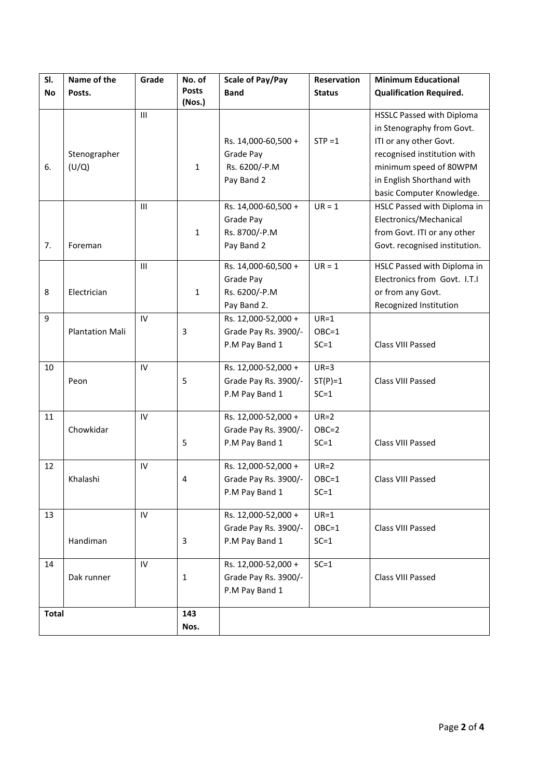| SI.          | Name of the            | Grade          | No. of       | <b>Scale of Pay/Pay</b> | <b>Reservation</b> | <b>Minimum Educational</b>       |
|--------------|------------------------|----------------|--------------|-------------------------|--------------------|----------------------------------|
| <b>No</b>    | Posts.                 |                | <b>Posts</b> | <b>Band</b>             | <b>Status</b>      | <b>Qualification Required.</b>   |
|              |                        |                | (Nos.)       |                         |                    |                                  |
|              |                        | $\mathbf{III}$ |              |                         |                    | <b>HSSLC Passed with Diploma</b> |
|              |                        |                |              |                         |                    | in Stenography from Govt.        |
|              |                        |                |              | Rs. 14,000-60,500 +     | $STP = 1$          | ITI or any other Govt.           |
|              | Stenographer           |                |              | Grade Pay               |                    | recognised institution with      |
| 6.           | (U/Q)                  |                | $\mathbf{1}$ | Rs. 6200/-P.M           |                    | minimum speed of 80WPM           |
|              |                        |                |              | Pay Band 2              |                    | in English Shorthand with        |
|              |                        |                |              |                         |                    | basic Computer Knowledge.        |
|              |                        | III            |              | Rs. 14,000-60,500 +     | $UR = 1$           | HSLC Passed with Diploma in      |
|              |                        |                |              | Grade Pay               |                    | Electronics/Mechanical           |
|              |                        |                | $\mathbf{1}$ | Rs. 8700/-P.M           |                    | from Govt. ITI or any other      |
| 7.           | Foreman                |                |              | Pay Band 2              |                    | Govt. recognised institution.    |
|              |                        | III            |              | Rs. 14,000-60,500 +     | $UR = 1$           | HSLC Passed with Diploma in      |
|              |                        |                |              | Grade Pay               |                    | Electronics from Govt. I.T.I     |
| 8            | Electrician            |                | $\mathbf{1}$ | Rs. 6200/-P.M           |                    | or from any Govt.                |
|              |                        |                |              | Pay Band 2.             |                    | Recognized Institution           |
| 9            |                        | IV             |              | Rs. 12,000-52,000 +     | $UR=1$             |                                  |
|              |                        |                |              |                         |                    |                                  |
|              | <b>Plantation Mali</b> |                | 3            | Grade Pay Rs. 3900/-    | $OBC=1$            | Class VIII Passed                |
|              |                        |                |              | P.M Pay Band 1          | $SC = 1$           |                                  |
| 10           |                        | IV             |              | Rs. 12,000-52,000 +     | $UR=3$             |                                  |
|              | Peon                   |                | 5            | Grade Pay Rs. 3900/-    | $ST(P)=1$          | Class VIII Passed                |
|              |                        |                |              | P.M Pay Band 1          | $SC = 1$           |                                  |
|              |                        |                |              |                         |                    |                                  |
| 11           |                        | IV             |              | Rs. 12,000-52,000 +     | $UR=2$             |                                  |
|              | Chowkidar              |                |              | Grade Pay Rs. 3900/-    | $OBC=2$            |                                  |
|              |                        |                | 5            | P.M Pay Band 1          | $SC = 1$           | Class VIII Passed                |
|              |                        |                |              |                         |                    |                                  |
| 12           |                        | IV             |              | Rs. 12,000-52,000 +     | $UR=2$             |                                  |
|              | Khalashi               |                | 4            | Grade Pay Rs. 3900/-    | $OBC=1$            | Class VIII Passed                |
|              |                        |                |              | P.M Pay Band 1          | $SC=1$             |                                  |
| 13           |                        | IV             |              | Rs. 12,000-52,000 +     | $UR=1$             |                                  |
|              |                        |                |              | Grade Pay Rs. 3900/-    | $OBC=1$            | Class VIII Passed                |
|              | Handiman               |                | 3            | P.M Pay Band 1          | $SC=1$             |                                  |
|              |                        |                |              |                         |                    |                                  |
| 14           |                        | IV             |              | Rs. 12,000-52,000 +     | $SC = 1$           |                                  |
|              | Dak runner             |                | $\mathbf{1}$ | Grade Pay Rs. 3900/-    |                    | Class VIII Passed                |
|              |                        |                |              | P.M Pay Band 1          |                    |                                  |
|              |                        |                |              |                         |                    |                                  |
| <b>Total</b> |                        |                | 143          |                         |                    |                                  |
|              |                        |                | Nos.         |                         |                    |                                  |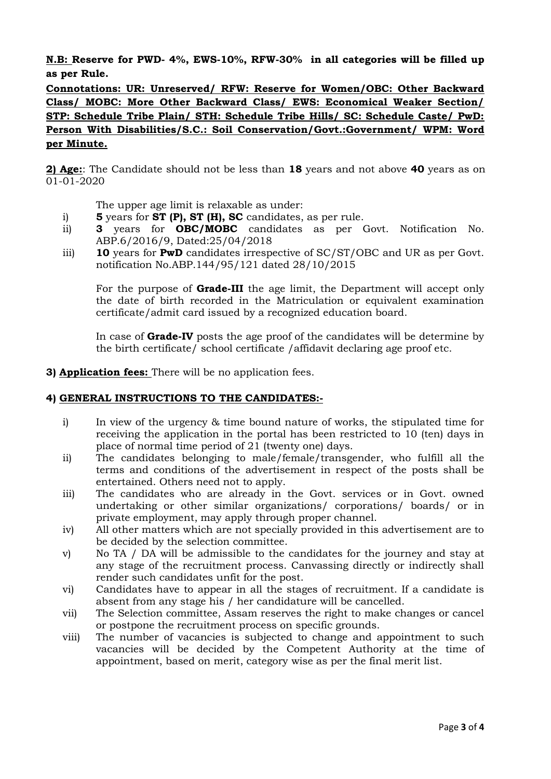**N.B: Reserve for PWD- 4%, EWS-10%, RFW-30% in all categories will be filled up as per Rule.**

**Connotations: UR: Unreserved/ RFW: Reserve for Women/OBC: Other Backward Class/ MOBC: More Other Backward Class/ EWS: Economical Weaker Section/ STP: Schedule Tribe Plain/ STH: Schedule Tribe Hills/ SC: Schedule Caste/ PwD: Person With Disabilities/S.C.: Soil Conservation/Govt.:Government/ WPM: Word per Minute.**

**2) Age:**: The Candidate should not be less than **18** years and not above **40** years as on 01-01-2020

The upper age limit is relaxable as under:

- i) **5** years for **ST (P), ST (H), SC** candidates, as per rule.
- ii) **3** years for **OBC/MOBC** candidates as per Govt. Notification No. ABP.6/2016/9, Dated:25/04/2018
- iii) **10** years for **PwD** candidates irrespective of SC/ST/OBC and UR as per Govt. notification No.ABP.144/95/121 dated 28/10/2015

For the purpose of **Grade-III** the age limit, the Department will accept only the date of birth recorded in the Matriculation or equivalent examination certificate/admit card issued by a recognized education board.

In case of **Grade-IV** posts the age proof of the candidates will be determine by the birth certificate/ school certificate /affidavit declaring age proof etc.

**3) Application fees:** There will be no application fees.

#### **4) GENERAL INSTRUCTIONS TO THE CANDIDATES:-**

- i) In view of the urgency & time bound nature of works, the stipulated time for receiving the application in the portal has been restricted to 10 (ten) days in place of normal time period of 21 (twenty one) days.
- ii) The candidates belonging to male/female/transgender, who fulfill all the terms and conditions of the advertisement in respect of the posts shall be entertained. Others need not to apply.
- iii) The candidates who are already in the Govt. services or in Govt. owned undertaking or other similar organizations/ corporations/ boards/ or in private employment, may apply through proper channel.
- iv) All other matters which are not specially provided in this advertisement are to be decided by the selection committee.
- v) No TA / DA will be admissible to the candidates for the journey and stay at any stage of the recruitment process. Canvassing directly or indirectly shall render such candidates unfit for the post.
- vi) Candidates have to appear in all the stages of recruitment. If a candidate is absent from any stage his / her candidature will be cancelled.
- vii) The Selection committee, Assam reserves the right to make changes or cancel or postpone the recruitment process on specific grounds.
- viii) The number of vacancies is subjected to change and appointment to such vacancies will be decided by the Competent Authority at the time of appointment, based on merit, category wise as per the final merit list.